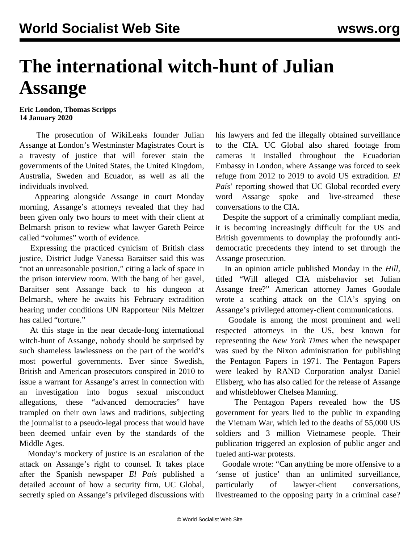## **The international witch-hunt of Julian Assange**

**Eric London, Thomas Scripps 14 January 2020**

 The prosecution of WikiLeaks founder Julian Assange at London's Westminster Magistrates Court is a travesty of justice that will forever stain the governments of the United States, the United Kingdom, Australia, Sweden and Ecuador, as well as all the individuals involved.

 Appearing alongside Assange in court Monday morning, Assange's attorneys revealed that they had been given only two hours to meet with their client at Belmarsh prison to review what lawyer Gareth Peirce called "volumes" worth of evidence.

 Expressing the practiced cynicism of British class justice, District Judge Vanessa Baraitser said this was "not an unreasonable position," citing a lack of space in the prison interview room. With the bang of her gavel, Baraitser sent Assange back to his dungeon at Belmarsh, where he awaits his February extradition hearing under conditions UN Rapporteur Nils Meltzer has called "torture."

 At this stage in the near decade-long international witch-hunt of Assange, nobody should be surprised by such shameless lawlessness on the part of the world's most powerful governments. Ever since Swedish, British and American prosecutors conspired in 2010 to issue a warrant for Assange's arrest in connection with an investigation into bogus sexual misconduct allegations, these "advanced democracies" have trampled on their own laws and traditions, subjecting the journalist to a pseudo-legal process that would have been deemed unfair even by the standards of the Middle Ages.

 Monday's mockery of justice is an escalation of the attack on Assange's right to counsel. It takes place after the Spanish newspaper *El País* published a detailed account of how a security firm, UC Global, secretly spied on Assange's privileged discussions with his lawyers and fed the illegally obtained surveillance to the CIA. UC Global also shared footage from cameras it installed throughout the Ecuadorian Embassy in London, where Assange was forced to seek refuge from 2012 to 2019 to avoid US extradition. *El País*' reporting showed that UC Global recorded every word Assange spoke and live-streamed these conversations to the CIA.

 Despite the support of a criminally compliant media, it is becoming increasingly difficult for the US and British governments to downplay the profoundly antidemocratic precedents they intend to set through the Assange prosecution.

 In an opinion article published Monday in the *Hill,* titled "Will alleged CIA misbehavior set Julian Assange free?" American attorney James Goodale wrote a scathing attack on the CIA's spying on Assange's privileged attorney-client communications.

 Goodale is among the most prominent and well respected attorneys in the US, best known for representing the *New York Times* when the newspaper was sued by the Nixon administration for publishing the Pentagon Papers in 1971. The Pentagon Papers were leaked by RAND Corporation analyst Daniel Ellsberg, who has also called for the release of Assange and whistleblower Chelsea Manning.

 The Pentagon Papers revealed how the US government for years lied to the public in expanding the Vietnam War, which led to the deaths of 55,000 US soldiers and 3 million Vietnamese people. Their publication triggered an explosion of public anger and fueled anti-war protests.

 Goodale wrote: "Can anything be more offensive to a 'sense of justice' than an unlimited surveillance, particularly of lawyer-client conversations, livestreamed to the opposing party in a criminal case?